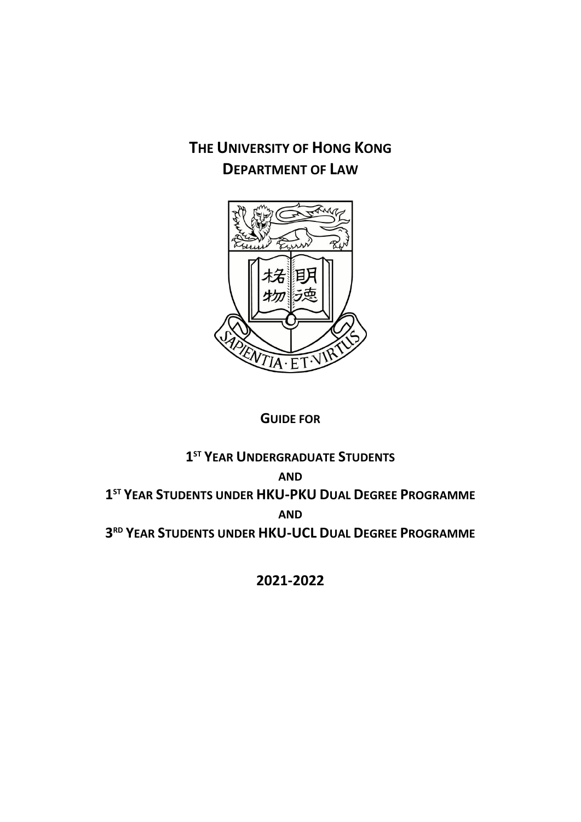# **THE UNIVERSITY OF HONG KONG DEPARTMENT OF LAW**



## **GUIDE FOR**

## **1 ST YEAR UNDERGRADUATE STUDENTS AND 1 ST YEAR STUDENTS UNDER HKU-PKU DUAL DEGREE PROGRAMME AND 3 RD YEAR STUDENTS UNDER HKU-UCL DUAL DEGREE PROGRAMME**

**2021-2022**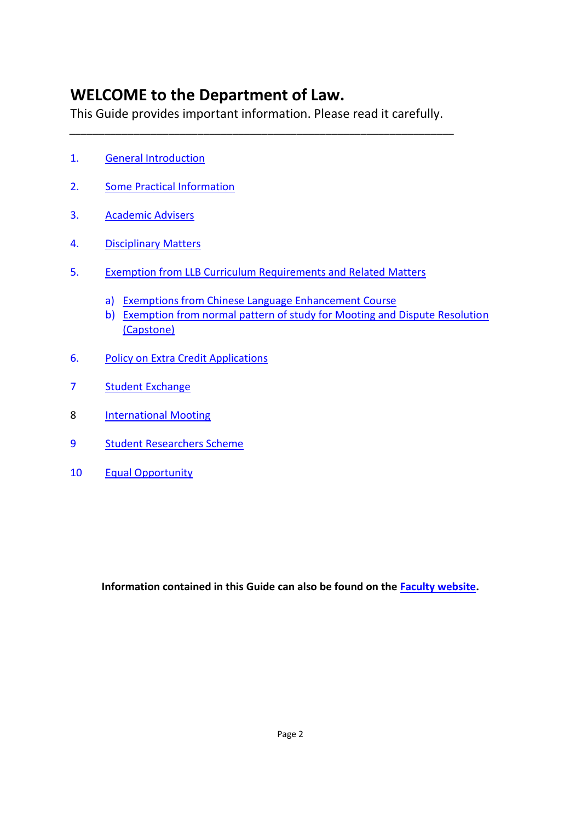# **WELCOME to the Department of Law.**

This Guide provides important information. Please read it carefully.

*\_\_\_\_\_\_\_\_\_\_\_\_\_\_\_\_\_\_\_\_\_\_\_\_\_\_\_\_\_\_\_\_\_\_\_\_\_\_\_\_\_\_\_\_\_\_\_\_\_\_\_\_\_\_\_\_\_\_\_\_\_\_\_\_\_\_*

- 1. [General Introduction](#page-2-0)
- 2. [Some Practical Information](#page-7-0)
- 3. [Academic Advisers](#page-13-0)
- 4. [Disciplinary Matters](#page-14-0)
- 5. [Exemption from LLB Curriculum Requirements and Related Matters](#page-18-0)
	- a) [Exemptions from Chinese Language Enhancement Course](#page-18-0)
	- b) [Exemption from normal pattern of study for Mooting and Dispute Resolution](#page-18-0)  [\(Capstone\)](#page-18-0)
- 6. [Policy on Extra Credit Applications](#page-20-0)
- 7 [Student Exchange](#page-21-0)
- 8 **[International Mooting](#page-26-0)**
- 9 [Student Researchers Scheme](#page-27-0)
- 10 [Equal Opportunity](#page-28-0)

**Information contained in this Guide can also be found on the [Faculty website.](http://www.law.hku.hk/)**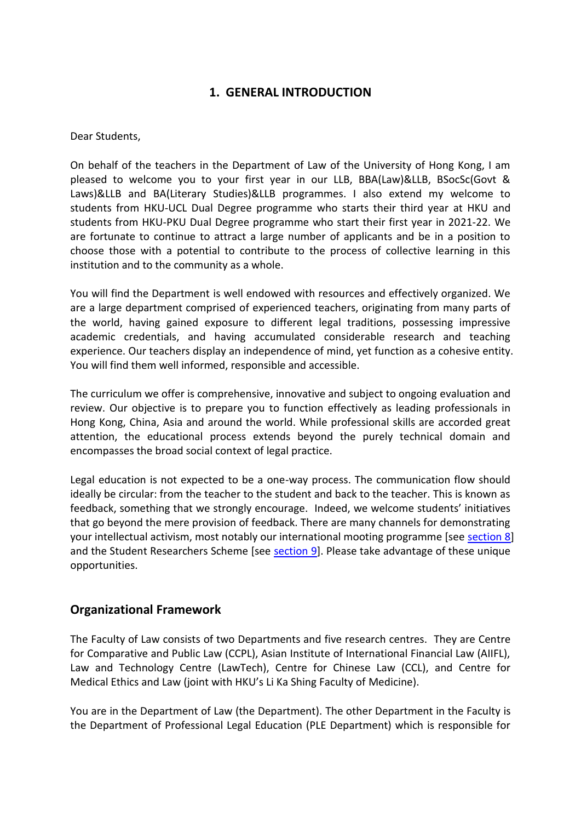## **1. GENERAL INTRODUCTION**

<span id="page-2-0"></span>Dear Students,

On behalf of the teachers in the Department of Law of the University of Hong Kong, I am pleased to welcome you to your first year in our LLB, BBA(Law)&LLB, BSocSc(Govt & Laws)&LLB and BA(Literary Studies)&LLB programmes. I also extend my welcome to students from HKU-UCL Dual Degree programme who starts their third year at HKU and students from HKU-PKU Dual Degree programme who start their first year in 2021-22. We are fortunate to continue to attract a large number of applicants and be in a position to choose those with a potential to contribute to the process of collective learning in this institution and to the community as a whole.

You will find the Department is well endowed with resources and effectively organized. We are a large department comprised of experienced teachers, originating from many parts of the world, having gained exposure to different legal traditions, possessing impressive academic credentials, and having accumulated considerable research and teaching experience. Our teachers display an independence of mind, yet function as a cohesive entity. You will find them well informed, responsible and accessible.

The curriculum we offer is comprehensive, innovative and subject to ongoing evaluation and review. Our objective is to prepare you to function effectively as leading professionals in Hong Kong, China, Asia and around the world. While professional skills are accorded great attention, the educational process extends beyond the purely technical domain and encompasses the broad social context of legal practice.

Legal education is not expected to be a one-way process. The communication flow should ideally be circular: from the teacher to the student and back to the teacher. This is known as feedback, something that we strongly encourage. Indeed, we welcome students' initiatives that go beyond the mere provision of feedback. There are many channels for demonstrating your intellectual activism, most notably our international mooting programme [see [section](#page-26-0) 8] and the Student Researchers Scheme [see [section 9\]](#page-27-0). Please take advantage of these unique opportunities.

## **Organizational Framework**

The Faculty of Law consists of two Departments and five research centres. They are Centre for Comparative and Public Law (CCPL), Asian Institute of International Financial Law (AIIFL), Law and Technology Centre (LawTech), Centre for Chinese Law (CCL), and Centre for Medical Ethics and Law (joint with HKU's Li Ka Shing Faculty of Medicine).

You are in the Department of Law (the Department). The other Department in the Faculty is the Department of Professional Legal Education (PLE Department) which is responsible for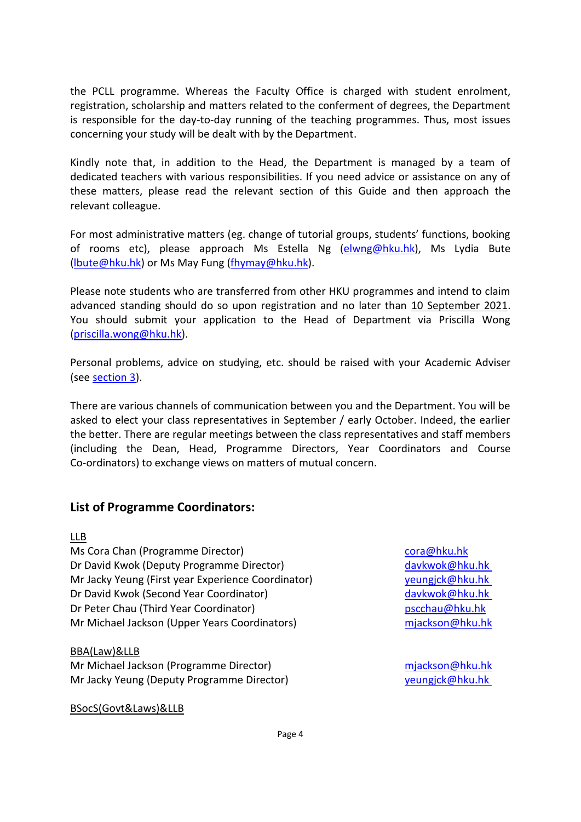the PCLL programme. Whereas the Faculty Office is charged with student enrolment, registration, scholarship and matters related to the conferment of degrees, the Department is responsible for the day-to-day running of the teaching programmes. Thus, most issues concerning your study will be dealt with by the Department.

Kindly note that, in addition to the Head, the Department is managed by a team of dedicated teachers with various responsibilities. If you need advice or assistance on any of these matters, please read the relevant section of this Guide and then approach the relevant colleague.

For most administrative matters (eg. change of tutorial groups, students' functions, booking of rooms etc), please approach Ms Estella Ng [\(elwng@hku.hk\)](mailto:elwng@hku.hk), Ms Lydia Bute [\(lbute@hku.hk\)](mailto:lbute@hku.hk) or Ms May Fung [\(fhymay@hku.hk\)](mailto:fhymay@hku.hk).

Please note students who are transferred from other HKU programmes and intend to claim advanced standing should do so upon registration and no later than 10 September 2021. You should submit your application to the Head of Department via Priscilla Wong [\(priscilla.wong@hku.hk\)](mailto:priscilla.wong@hku.hk).

Personal problems, advice on studying, etc. should be raised with your Academic Adviser (see [section 3\)](#page-13-0).

There are various channels of communication between you and the Department. You will be asked to elect your class representatives in September / early October. Indeed, the earlier the better. There are regular meetings between the class representatives and staff members (including the Dean, Head, Programme Directors, Year Coordinators and Course Co-ordinators) to exchange views on matters of mutual concern.

## **List of Programme Coordinators:**

#### LLB

Ms Cora Chan (Programme Director) [cora@hku.hk](mailto:cora@hku.hk) Dr David Kwok (Deputy Programme Director) [davkwok@hku.hk](mailto:davkwok@hku.hk) Mr Jacky Yeung (First year Experience Coordinator) [yeungjck@hku.hk](mailto:yeungjck@hku.hk) Dr David Kwok (Second Year Coordinator) [davkwok@hku.hk](mailto:davkwok@hku.hk) Dr Peter Chau (Third Year Coordinator) [pscchau@hku.hk](mailto:pscchau@hku.hk) Mr Michael Jackson (Upper Years Coordinators) migram migram migram migram migram migram metallic metallic metal

#### BBA(Law)&LLB

Mr Michael Jackson (Programme Director) might might be my minimized might be my might be my might be my might be my might be my might be my might be my might be my might be my might be my might be my might be my might be m Mr Jacky Yeung (Deputy Programme Director) veungick@hku.hk

BSocS(Govt&Laws)&LLB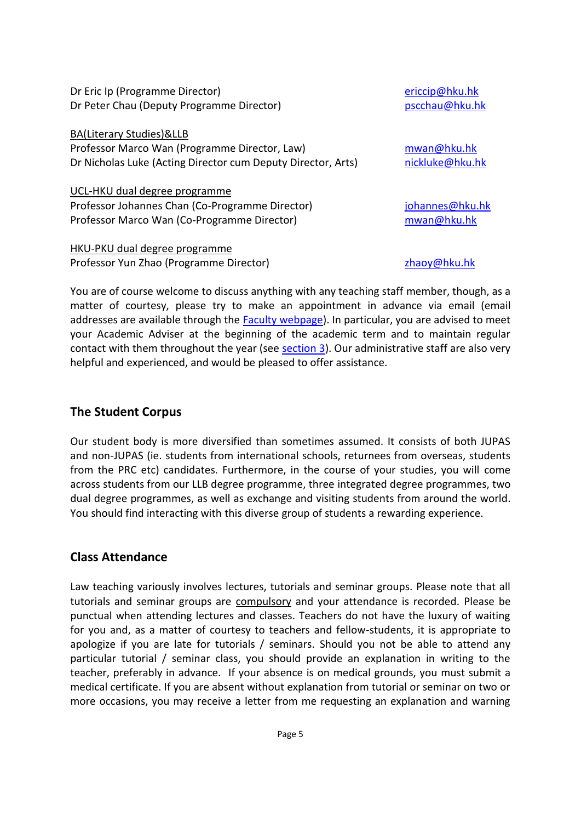| Dr Eric Ip (Programme Director)                              | ericcip@hku.hk  |
|--------------------------------------------------------------|-----------------|
| Dr Peter Chau (Deputy Programme Director)                    | pscchau@hku.hk  |
| BA(Literary Studies)&LLB                                     |                 |
| Professor Marco Wan (Programme Director, Law)                | mwan@hku.hk     |
| Dr Nicholas Luke (Acting Director cum Deputy Director, Arts) | nickluke@hku.hk |
| UCL-HKU dual degree programme                                |                 |
| Professor Johannes Chan (Co-Programme Director)              | johannes@hku.hk |
| Professor Marco Wan (Co-Programme Director)                  | mwan@hku.hk     |
| HKU-PKU dual degree programme                                |                 |
| Professor Yun Zhao (Programme Director)                      | zhaoy@hku.hk    |

You are of course welcome to discuss anything with any teaching staff member, though, as a matter of courtesy, please try to make an appointment in advance via email (email addresses are available through the [Faculty webpage\)](http://www.law.hku.hk/). In particular, you are advised to meet your Academic Adviser at the beginning of the academic term and to maintain regular contact with them throughout the year (see [section 3\)](#page-13-0). Our administrative staff are also very helpful and experienced, and would be pleased to offer assistance.

## **The Student Corpus**

Our student body is more diversified than sometimes assumed. It consists of both JUPAS and non-JUPAS (ie. students from international schools, returnees from overseas, students from the PRC etc) candidates. Furthermore, in the course of your studies, you will come across students from our LLB degree programme, three integrated degree programmes, two dual degree programmes, as well as exchange and visiting students from around the world. You should find interacting with this diverse group of students a rewarding experience.

## **Class Attendance**

Law teaching variously involves lectures, tutorials and seminar groups. Please note that all tutorials and seminar groups are compulsory and your attendance is recorded. Please be punctual when attending lectures and classes. Teachers do not have the luxury of waiting for you and, as a matter of courtesy to teachers and fellow-students, it is appropriate to apologize if you are late for tutorials / seminars. Should you not be able to attend any particular tutorial / seminar class, you should provide an explanation in writing to the teacher, preferably in advance. If your absence is on medical grounds, you must submit a medical certificate. If you are absent without explanation from tutorial or seminar on two or more occasions, you may receive a letter from me requesting an explanation and warning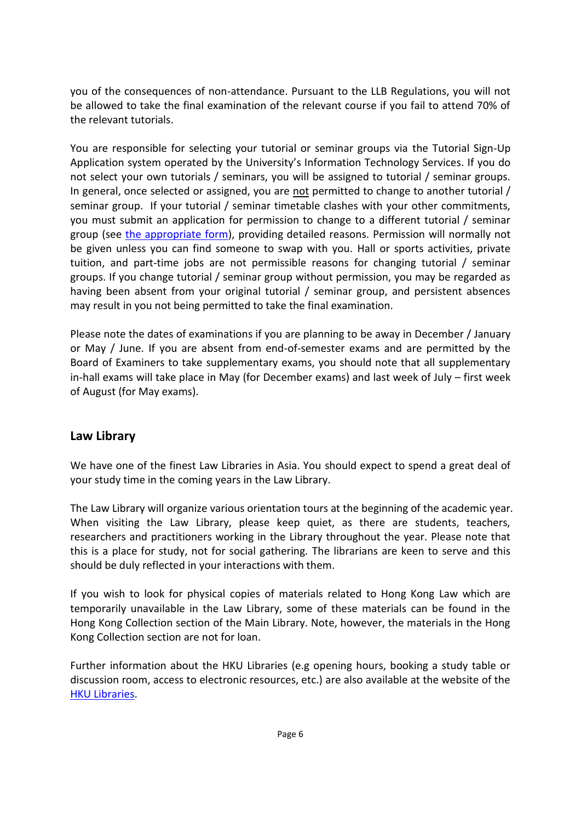you of the consequences of non-attendance. Pursuant to the LLB Regulations, you will not be allowed to take the final examination of the relevant course if you fail to attend 70% of the relevant tutorials.

You are responsible for selecting your tutorial or seminar groups via the Tutorial Sign-Up Application system operated by the University's Information Technology Services. If you do not select your own tutorials / seminars, you will be assigned to tutorial / seminar groups. In general, once selected or assigned, you are not permitted to change to another tutorial / seminar group. If your tutorial / seminar timetable clashes with your other commitments, you must submit an application for permission to change to a different tutorial / seminar group (see [the appropriate form\)](https://dm.law.hku.hk/forms/), providing detailed reasons. Permission will normally not be given unless you can find someone to swap with you. Hall or sports activities, private tuition, and part-time jobs are not permissible reasons for changing tutorial / seminar groups. If you change tutorial / seminar group without permission, you may be regarded as having been absent from your original tutorial / seminar group, and persistent absences may result in you not being permitted to take the final examination.

Please note the dates of examinations if you are planning to be away in December / January or May / June. If you are absent from end-of-semester exams and are permitted by the Board of Examiners to take supplementary exams, you should note that all supplementary in-hall exams will take place in May (for December exams) and last week of July – first week of August (for May exams).

## **Law Library**

We have one of the finest Law Libraries in Asia. You should expect to spend a great deal of your study time in the coming years in the Law Library.

The Law Library will organize various orientation tours at the beginning of the academic year. When visiting the Law Library, please keep quiet, as there are students, teachers, researchers and practitioners working in the Library throughout the year. Please note that this is a place for study, not for social gathering. The librarians are keen to serve and this should be duly reflected in your interactions with them.

If you wish to look for physical copies of materials related to Hong Kong Law which are temporarily unavailable in the Law Library, some of these materials can be found in the Hong Kong Collection section of the Main Library. Note, however, the materials in the Hong Kong Collection section are not for loan.

Further information about the HKU Libraries (e.g opening hours, booking a study table or discussion room, access to electronic resources, etc.) are also available at the website of the [HKU Libraries.](https://lib.hku.hk/)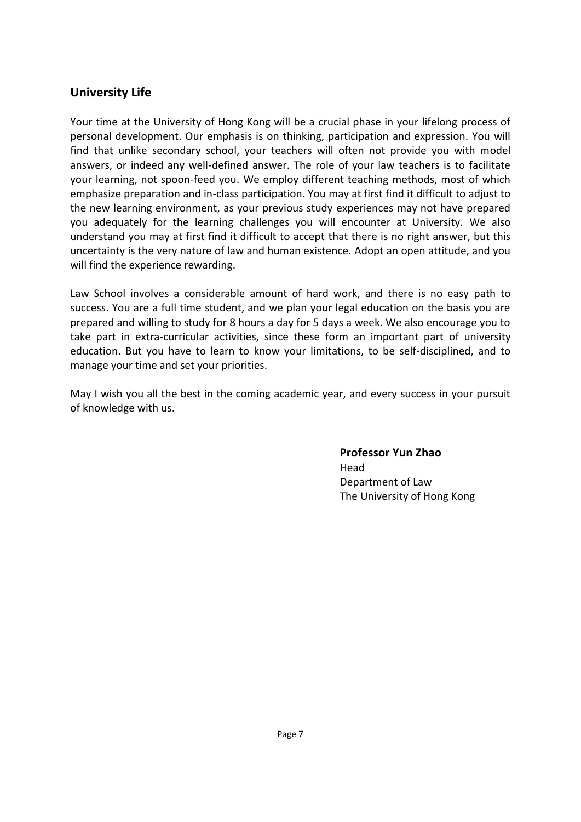## **University Life**

Your time at the University of Hong Kong will be a crucial phase in your lifelong process of personal development. Our emphasis is on thinking, participation and expression. You will find that unlike secondary school, your teachers will often not provide you with model answers, or indeed any well-defined answer. The role of your law teachers is to facilitate your learning, not spoon-feed you. We employ different teaching methods, most of which emphasize preparation and in-class participation. You may at first find it difficult to adjust to the new learning environment, as your previous study experiences may not have prepared you adequately for the learning challenges you will encounter at University. We also understand you may at first find it difficult to accept that there is no right answer, but this uncertainty is the very nature of law and human existence. Adopt an open attitude, and you will find the experience rewarding.

Law School involves a considerable amount of hard work, and there is no easy path to success. You are a full time student, and we plan your legal education on the basis you are prepared and willing to study for 8 hours a day for 5 days a week. We also encourage you to take part in extra-curricular activities, since these form an important part of university education. But you have to learn to know your limitations, to be self-disciplined, and to manage your time and set your priorities.

May I wish you all the best in the coming academic year, and every success in your pursuit of knowledge with us.

> **Professor Yun Zhao** Head Department of Law The University of Hong Kong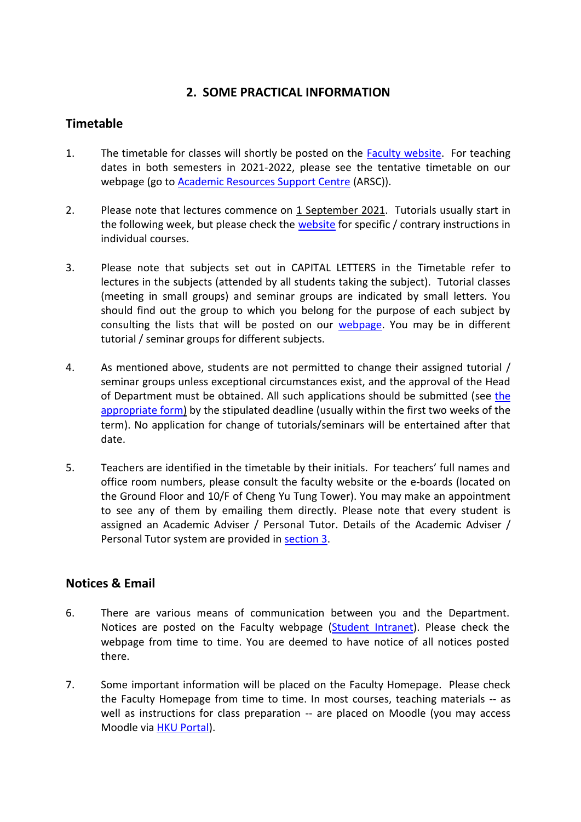## **2. SOME PRACTICAL INFORMATION**

## <span id="page-7-0"></span>**Timetable**

- 1. The timetable for classes will shortly be posted on the [Faculty website.](https://dm.law.hku.hk/timetables/) For teaching dates in both semesters in 2021-2022, please see the tentative timetable on our webpage (go to [Academic Resources Support Centre](https://dm.law.hku.hk/) (ARSC)).
- 2. Please note that lectures commence on 1 September 2021. Tutorials usually start in the following week, but please check the [website](https://course.law.hku.hk/) for specific / contrary instructions in individual courses.
- 3. Please note that subjects set out in CAPITAL LETTERS in the Timetable refer to lectures in the subjects (attended by all students taking the subject). Tutorial classes (meeting in small groups) and seminar groups are indicated by small letters. You should find out the group to which you belong for the purpose of each subject by consulting the lists that will be posted on our [webpage.](https://course.law.hku.hk/) You may be in different tutorial / seminar groups for different subjects.
- 4. As mentioned above, students are not permitted to change their assigned tutorial / seminar groups unless exceptional circumstances exist, and the approval of the Head of Department must be obtained. All such applications should be submitted (see [the](https://dm.law.hku.hk/forms/)  [appropriate form\)](https://dm.law.hku.hk/forms/) by the stipulated deadline (usually within the first two weeks of the term). No application for change of tutorials/seminars will be entertained after that date.
- 5. Teachers are identified in the timetable by their initials. For teachers' full names and office room numbers, please consult the faculty website or the e-boards (located on the Ground Floor and 10/F of Cheng Yu Tung Tower). You may make an appointment to see any of them by emailing them directly. Please note that every student is assigned an Academic Adviser / Personal Tutor. Details of the Academic Adviser / Personal Tutor system are provided in [section 3.](#page-13-0)

## **Notices & Email**

- 6. There are various means of communication between you and the Department. Notices are posted on the Faculty webpage [\(Student Intranet\)](https://dm.law.hku.hk/). Please check the webpage from time to time. You are deemed to have notice of all notices posted there.
- 7. Some important information will be placed on the Faculty Homepage. Please check the Faculty Homepage from time to time. In most courses, teaching materials -- as well as instructions for class preparation -- are placed on Moodle (you may access Moodle via **HKU Portal**).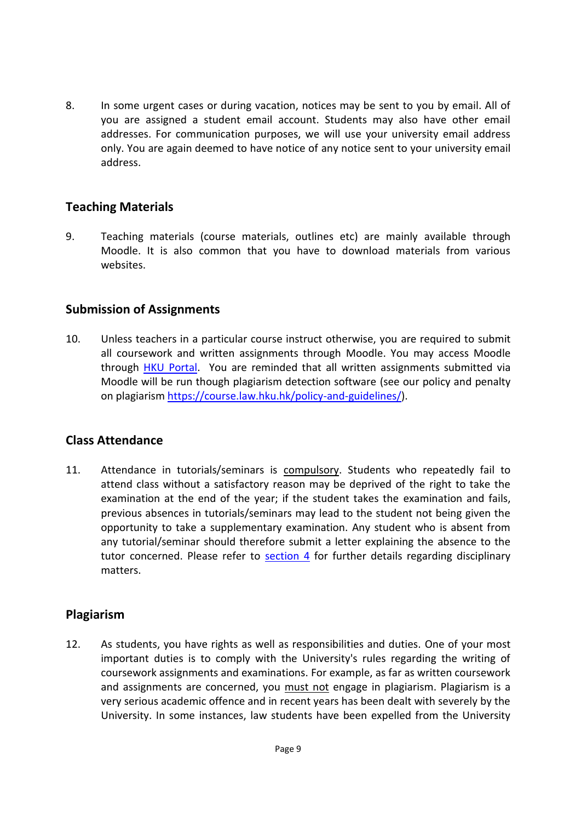8. In some urgent cases or during vacation, notices may be sent to you by email. All of you are assigned a student email account. Students may also have other email addresses. For communication purposes, we will use your university email address only. You are again deemed to have notice of any notice sent to your university email address.

## **Teaching Materials**

9. Teaching materials (course materials, outlines etc) are mainly available through Moodle. It is also common that you have to download materials from various websites.

#### **Submission of Assignments**

10. Unless teachers in a particular course instruct otherwise, you are required to submit all coursework and written assignments through Moodle. You may access Moodle through [HKU Portal.](https://hkuportal.hku.hk/login.html) You are reminded that all written assignments submitted via Moodle will be run though plagiarism detection software (see our policy and penalty on plagiaris[m https://course.law.hku.hk/policy-and-guidelines/\)](https://course.law.hku.hk/policy-and-guidelines/).

## **Class Attendance**

11. Attendance in tutorials/seminars is compulsory. Students who repeatedly fail to attend class without a satisfactory reason may be deprived of the right to take the examination at the end of the year; if the student takes the examination and fails, previous absences in tutorials/seminars may lead to the student not being given the opportunity to take a supplementary examination. Any student who is absent from any tutorial/seminar should therefore submit a letter explaining the absence to the tutor concerned. Please refer to  $section 4$  for further details regarding disciplinary matters.

#### **Plagiarism**

12. As students, you have rights as well as responsibilities and duties. One of your most important duties is to comply with the University's rules regarding the writing of coursework assignments and examinations. For example, as far as written coursework and assignments are concerned, you must not engage in plagiarism. Plagiarism is a very serious academic offence and in recent years has been dealt with severely by the University. In some instances, law students have been expelled from the University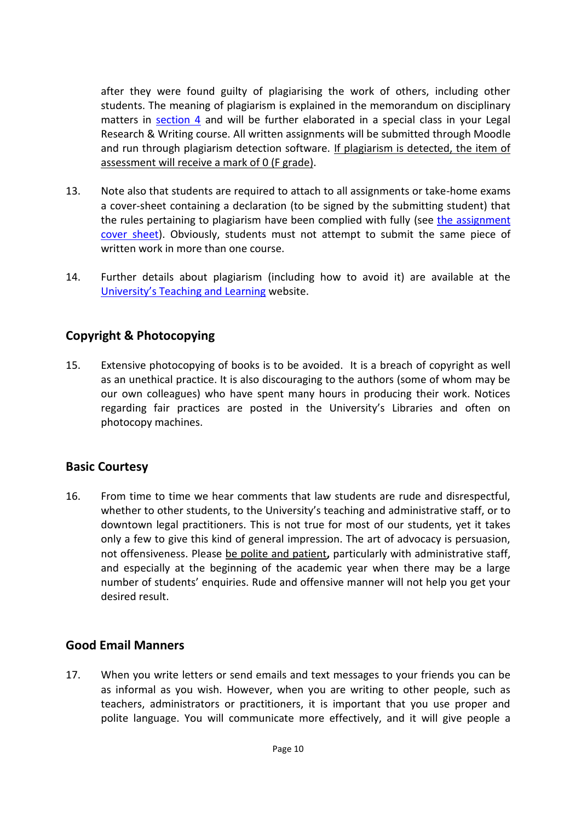after they were found guilty of plagiarising the work of others, including other students. The meaning of plagiarism is explained in the memorandum on disciplinary matters in [section 4](#page-14-0) and will be further elaborated in a special class in your Legal Research & Writing course. All written assignments will be submitted through Moodle and run through plagiarism detection software. If plagiarism is detected, the item of assessment will receive a mark of 0 (F grade).

- 13. Note also that students are required to attach to all assignments or take-home exams a cover-sheet containing a declaration (to be signed by the submitting student) that the rules pertaining to plagiarism have been complied with fully (see [the assignment](https://dm.law.hku.hk/forms/)  [cover sheet\)](https://dm.law.hku.hk/forms/). Obviously, students must not attempt to submit the same piece of written work in more than one course.
- 14. Further details about plagiarism (including how to avoid it) are available at the [University's Teaching and Learning](https://tl.hku.hk/plagiarism/) website.

## **Copyright & Photocopying**

15. Extensive photocopying of books is to be avoided. It is a breach of copyright as well as an unethical practice. It is also discouraging to the authors (some of whom may be our own colleagues) who have spent many hours in producing their work. Notices regarding fair practices are posted in the University's Libraries and often on photocopy machines.

## **Basic Courtesy**

16. From time to time we hear comments that law students are rude and disrespectful, whether to other students, to the University's teaching and administrative staff, or to downtown legal practitioners. This is not true for most of our students, yet it takes only a few to give this kind of general impression. The art of advocacy is persuasion, not offensiveness. Please be polite and patient**,** particularly with administrative staff, and especially at the beginning of the academic year when there may be a large number of students' enquiries. Rude and offensive manner will not help you get your desired result.

#### **Good Email Manners**

17. When you write letters or send emails and text messages to your friends you can be as informal as you wish. However, when you are writing to other people, such as teachers, administrators or practitioners, it is important that you use proper and polite language. You will communicate more effectively, and it will give people a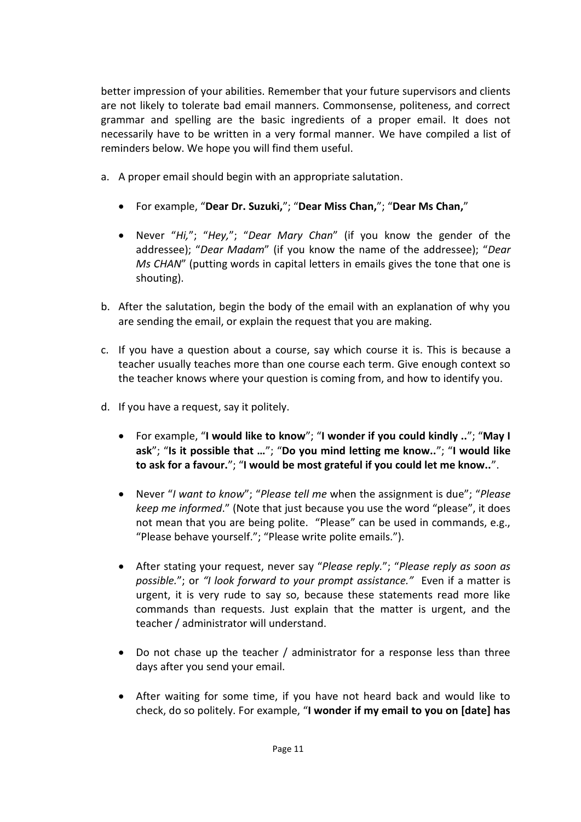better impression of your abilities. Remember that your future supervisors and clients are not likely to tolerate bad email manners. Commonsense, politeness, and correct grammar and spelling are the basic ingredients of a proper email. It does not necessarily have to be written in a very formal manner. We have compiled a list of reminders below. We hope you will find them useful.

- a. A proper email should begin with an appropriate salutation.
	- For example, "**Dear Dr. Suzuki,**"; "**Dear Miss Chan,**"; "**Dear Ms Chan,**"
	- Never "*Hi,*"; "*Hey,*"; "*Dear Mary Chan*" (if you know the gender of the addressee); "*Dear Madam*" (if you know the name of the addressee); "*Dear Ms CHAN*" (putting words in capital letters in emails gives the tone that one is shouting).
- b. After the salutation, begin the body of the email with an explanation of why you are sending the email, or explain the request that you are making.
- c. If you have a question about a course, say which course it is. This is because a teacher usually teaches more than one course each term. Give enough context so the teacher knows where your question is coming from, and how to identify you.
- d. If you have a request, say it politely.
	- For example, "**I would like to know**"; "**I wonder if you could kindly ..**"; "**May I ask**"; "**Is it possible that …**"; "**Do you mind letting me know..**"; "**I would like to ask for a favour.**"; "**I would be most grateful if you could let me know..**".
	- Never "*I want to know*"; "*Please tell me* when the assignment is due"; "*Please keep me informed*." (Note that just because you use the word "please", it does not mean that you are being polite. "Please" can be used in commands, e.g., "Please behave yourself."; "Please write polite emails.").
	- After stating your request, never say "*Please reply.*"; "*Please reply as soon as possible.*"; or *"I look forward to your prompt assistance."* Even if a matter is urgent, it is very rude to say so, because these statements read more like commands than requests. Just explain that the matter is urgent, and the teacher / administrator will understand.
	- Do not chase up the teacher / administrator for a response less than three days after you send your email.
	- After waiting for some time, if you have not heard back and would like to check, do so politely. For example, "**I wonder if my email to you on [date] has**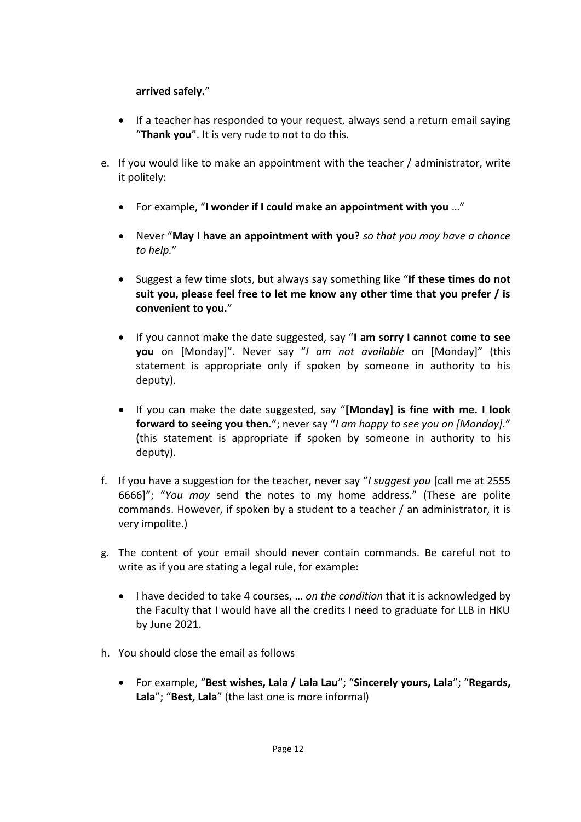#### **arrived safely.**"

- If a teacher has responded to your request, always send a return email saying "**Thank you**". It is very rude to not to do this.
- e. If you would like to make an appointment with the teacher / administrator, write it politely:
	- For example, "**I wonder if I could make an appointment with you** …"
	- Never "**May I have an appointment with you?** *so that you may have a chance to help.*"
	- Suggest a few time slots, but always say something like "**If these times do not suit you, please feel free to let me know any other time that you prefer / is convenient to you.**"
	- If you cannot make the date suggested, say "**I am sorry I cannot come to see you** on [Monday]". Never say "*I am not available* on [Monday]" (this statement is appropriate only if spoken by someone in authority to his deputy).
	- If you can make the date suggested, say "**[Monday] is fine with me. I look forward to seeing you then.**"; never say "*I am happy to see you on [Monday].*" (this statement is appropriate if spoken by someone in authority to his deputy).
- f. If you have a suggestion for the teacher, never say "*I suggest you* [call me at 2555 6666]"; "*You may* send the notes to my home address." (These are polite commands. However, if spoken by a student to a teacher / an administrator, it is very impolite.)
- g. The content of your email should never contain commands. Be careful not to write as if you are stating a legal rule, for example:
	- I have decided to take 4 courses, … *on the condition* that it is acknowledged by the Faculty that I would have all the credits I need to graduate for LLB in HKU by June 2021.
- h. You should close the email as follows
	- For example, "**Best wishes, Lala / Lala Lau**"; "**Sincerely yours, Lala**"; "**Regards, Lala**"; "**Best, Lala**" (the last one is more informal)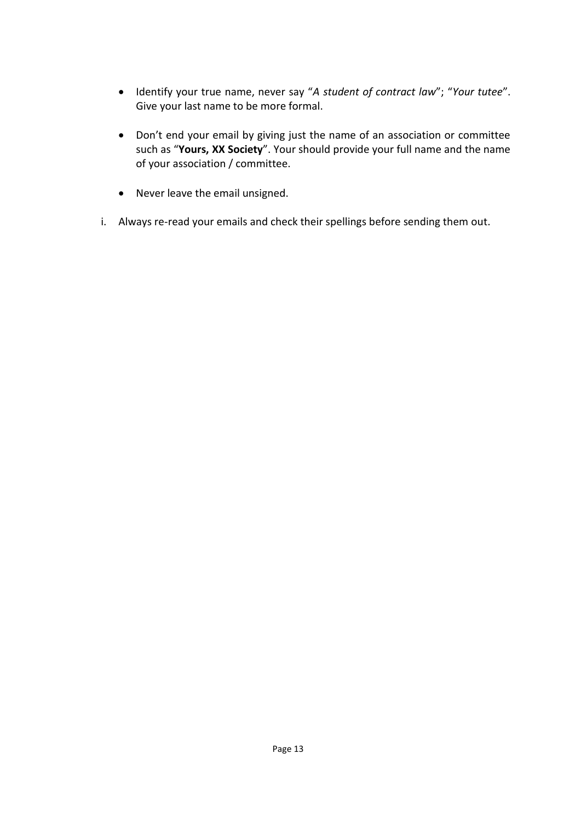- Identify your true name, never say "*A student of contract law*"; "*Your tutee*". Give your last name to be more formal.
- Don't end your email by giving just the name of an association or committee such as "**Yours, XX Society**". Your should provide your full name and the name of your association / committee.
- Never leave the email unsigned.
- i. Always re-read your emails and check their spellings before sending them out.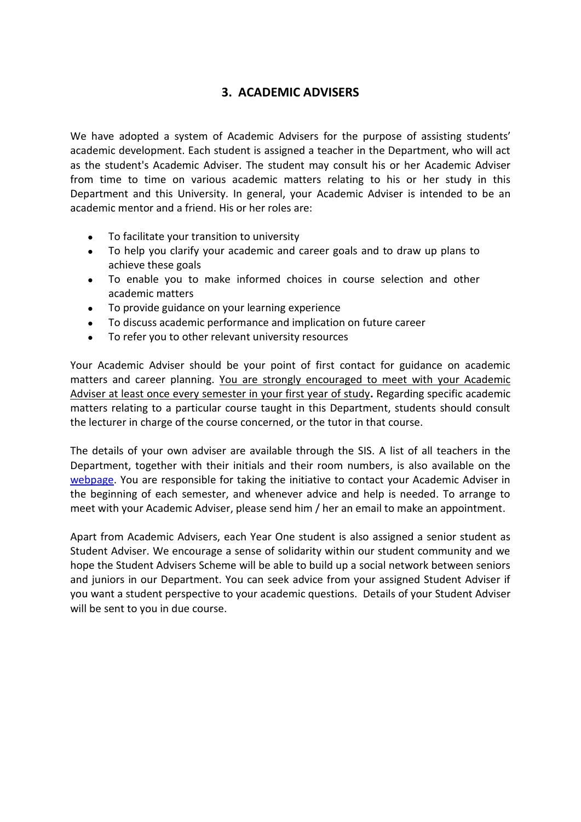## **3. ACADEMIC ADVISERS**

<span id="page-13-0"></span>We have adopted a system of Academic Advisers for the purpose of assisting students' academic development. Each student is assigned a teacher in the Department, who will act as the student's Academic Adviser. The student may consult his or her Academic Adviser from time to time on various academic matters relating to his or her study in this Department and this University. In general, your Academic Adviser is intended to be an academic mentor and a friend. His or her roles are:

- To facilitate your transition to university
- To help you clarify your academic and career goals and to draw up plans to achieve these goals
- To enable you to make informed choices in course selection and other academic matters
- To provide guidance on your learning experience
- To discuss academic performance and implication on future career
- To refer you to other relevant university resources

Your Academic Adviser should be your point of first contact for guidance on academic matters and career planning. You are strongly encouraged to meet with your Academic Adviser at least once every semester in your first year of study**.** Regarding specific academic matters relating to a particular course taught in this Department, students should consult the lecturer in charge of the course concerned, or the tutor in that course.

The details of your own adviser are available through the SIS. A list of all teachers in the Department, together with their initials and their room numbers, is also available on the [webpage.](https://www.law.hku.hk/academic-staff/) You are responsible for taking the initiative to contact your Academic Adviser in the beginning of each semester, and whenever advice and help is needed. To arrange to meet with your Academic Adviser, please send him / her an email to make an appointment.

Apart from Academic Advisers, each Year One student is also assigned a senior student as Student Adviser. We encourage a sense of solidarity within our student community and we hope the Student Advisers Scheme will be able to build up a social network between seniors and juniors in our Department. You can seek advice from your assigned Student Adviser if you want a student perspective to your academic questions. Details of your Student Adviser will be sent to you in due course.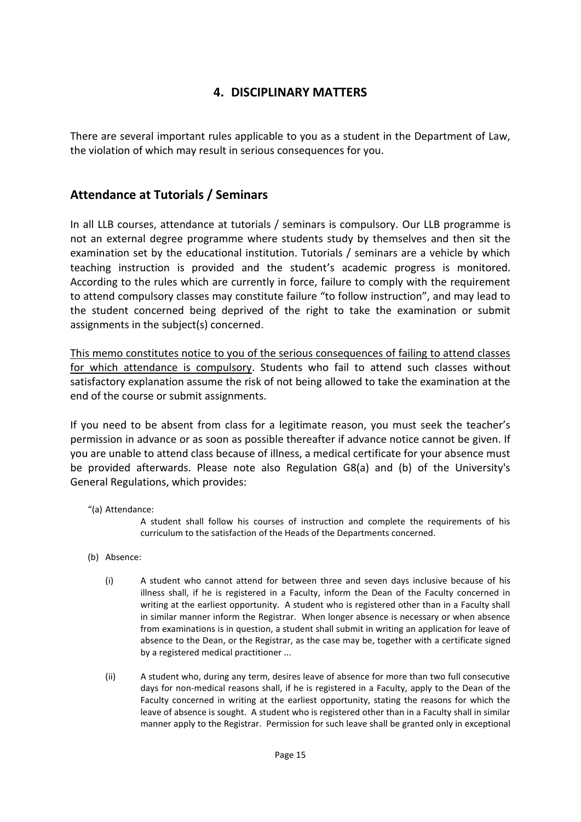## <span id="page-14-0"></span>**4. DISCIPLINARY MATTERS**

There are several important rules applicable to you as a student in the Department of Law, the violation of which may result in serious consequences for you.

## **Attendance at Tutorials / Seminars**

In all LLB courses, attendance at tutorials / seminars is compulsory. Our LLB programme is not an external degree programme where students study by themselves and then sit the examination set by the educational institution. Tutorials / seminars are a vehicle by which teaching instruction is provided and the student's academic progress is monitored. According to the rules which are currently in force, failure to comply with the requirement to attend compulsory classes may constitute failure "to follow instruction", and may lead to the student concerned being deprived of the right to take the examination or submit assignments in the subject(s) concerned.

This memo constitutes notice to you of the serious consequences of failing to attend classes for which attendance is compulsory. Students who fail to attend such classes without satisfactory explanation assume the risk of not being allowed to take the examination at the end of the course or submit assignments.

If you need to be absent from class for a legitimate reason, you must seek the teacher's permission in advance or as soon as possible thereafter if advance notice cannot be given. If you are unable to attend class because of illness, a medical certificate for your absence must be provided afterwards. Please note also Regulation G8(a) and (b) of the University's General Regulations, which provides:

"(a) Attendance:

A student shall follow his courses of instruction and complete the requirements of his curriculum to the satisfaction of the Heads of the Departments concerned.

- (b) Absence:
	- (i) A student who cannot attend for between three and seven days inclusive because of his illness shall, if he is registered in a Faculty, inform the Dean of the Faculty concerned in writing at the earliest opportunity. A student who is registered other than in a Faculty shall in similar manner inform the Registrar. When longer absence is necessary or when absence from examinations is in question, a student shall submit in writing an application for leave of absence to the Dean, or the Registrar, as the case may be, together with a certificate signed by a registered medical practitioner ...
	- (ii) A student who, during any term, desires leave of absence for more than two full consecutive days for non-medical reasons shall, if he is registered in a Faculty, apply to the Dean of the Faculty concerned in writing at the earliest opportunity, stating the reasons for which the leave of absence is sought. A student who is registered other than in a Faculty shall in similar manner apply to the Registrar. Permission for such leave shall be granted only in exceptional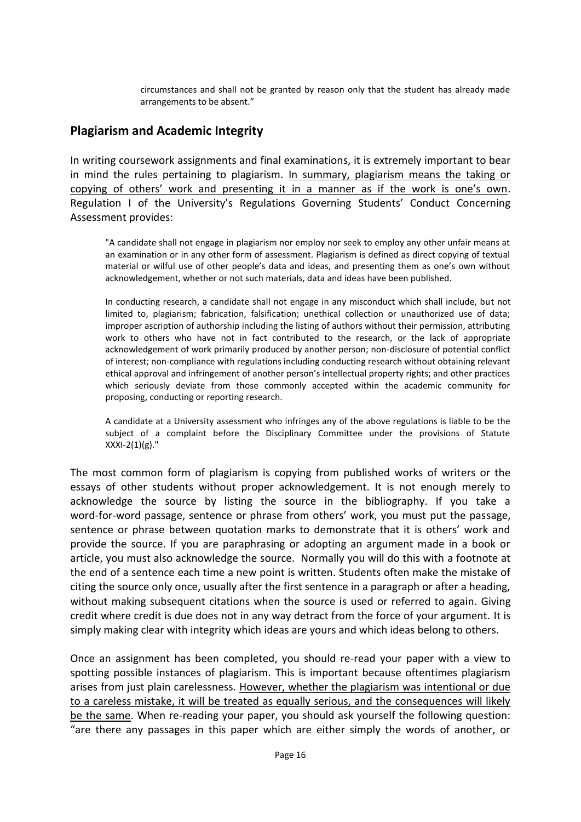circumstances and shall not be granted by reason only that the student has already made arrangements to be absent."

## **Plagiarism and Academic Integrity**

In writing coursework assignments and final examinations, it is extremely important to bear in mind the rules pertaining to plagiarism. In summary, plagiarism means the taking or copying of others' work and presenting it in a manner as if the work is one's own. Regulation I of the University's Regulations Governing Students' Conduct Concerning Assessment provides:

"A candidate shall not engage in plagiarism nor employ nor seek to employ any other unfair means at an examination or in any other form of assessment. Plagiarism is defined as direct copying of textual material or wilful use of other people's data and ideas, and presenting them as one's own without acknowledgement, whether or not such materials, data and ideas have been published.

In conducting research, a candidate shall not engage in any misconduct which shall include, but not limited to, plagiarism; fabrication, falsification; unethical collection or unauthorized use of data; improper ascription of authorship including the listing of authors without their permission, attributing work to others who have not in fact contributed to the research, or the lack of appropriate acknowledgement of work primarily produced by another person; non-disclosure of potential conflict of interest; non-compliance with regulations including conducting research without obtaining relevant ethical approval and infringement of another person's intellectual property rights; and other practices which seriously deviate from those commonly accepted within the academic community for proposing, conducting or reporting research.

A candidate at a University assessment who infringes any of the above regulations is liable to be the subject of a complaint before the Disciplinary Committee under the provisions of Statute  $XXXI-2(1)(g)$ ."

The most common form of plagiarism is copying from published works of writers or the essays of other students without proper acknowledgement. It is not enough merely to acknowledge the source by listing the source in the bibliography. If you take a word-for-word passage, sentence or phrase from others' work, you must put the passage, sentence or phrase between quotation marks to demonstrate that it is others' work and provide the source. If you are paraphrasing or adopting an argument made in a book or article, you must also acknowledge the source. Normally you will do this with a footnote at the end of a sentence each time a new point is written. Students often make the mistake of citing the source only once, usually after the first sentence in a paragraph or after a heading, without making subsequent citations when the source is used or referred to again. Giving credit where credit is due does not in any way detract from the force of your argument. It is simply making clear with integrity which ideas are yours and which ideas belong to others.

Once an assignment has been completed, you should re-read your paper with a view to spotting possible instances of plagiarism. This is important because oftentimes plagiarism arises from just plain carelessness. However, whether the plagiarism was intentional or due to a careless mistake, it will be treated as equally serious, and the consequences will likely be the same. When re-reading your paper, you should ask yourself the following question: "are there any passages in this paper which are either simply the words of another, or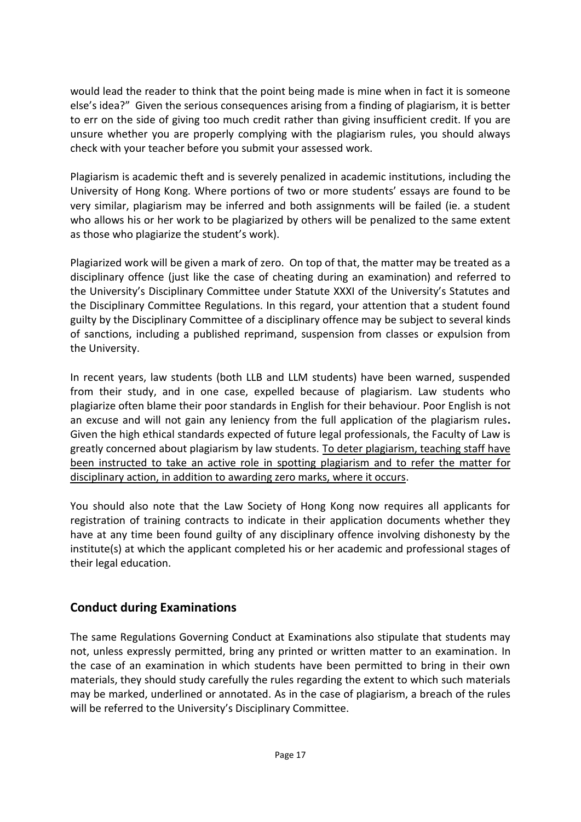would lead the reader to think that the point being made is mine when in fact it is someone else's idea?" Given the serious consequences arising from a finding of plagiarism, it is better to err on the side of giving too much credit rather than giving insufficient credit. If you are unsure whether you are properly complying with the plagiarism rules, you should always check with your teacher before you submit your assessed work.

Plagiarism is academic theft and is severely penalized in academic institutions, including the University of Hong Kong. Where portions of two or more students' essays are found to be very similar, plagiarism may be inferred and both assignments will be failed (ie. a student who allows his or her work to be plagiarized by others will be penalized to the same extent as those who plagiarize the student's work).

Plagiarized work will be given a mark of zero. On top of that, the matter may be treated as a disciplinary offence (just like the case of cheating during an examination) and referred to the University's Disciplinary Committee under Statute XXXI of the University's Statutes and the Disciplinary Committee Regulations. In this regard, your attention that a student found guilty by the Disciplinary Committee of a disciplinary offence may be subject to several kinds of sanctions, including a published reprimand, suspension from classes or expulsion from the University.

In recent years, law students (both LLB and LLM students) have been warned, suspended from their study, and in one case, expelled because of plagiarism. Law students who plagiarize often blame their poor standards in English for their behaviour. Poor English is not an excuse and will not gain any leniency from the full application of the plagiarism rules**.** Given the high ethical standards expected of future legal professionals, the Faculty of Law is greatly concerned about plagiarism by law students. To deter plagiarism, teaching staff have been instructed to take an active role in spotting plagiarism and to refer the matter for disciplinary action, in addition to awarding zero marks, where it occurs.

You should also note that the Law Society of Hong Kong now requires all applicants for registration of training contracts to indicate in their application documents whether they have at any time been found guilty of any disciplinary offence involving dishonesty by the institute(s) at which the applicant completed his or her academic and professional stages of their legal education.

## **Conduct during Examinations**

The same Regulations Governing Conduct at Examinations also stipulate that students may not, unless expressly permitted, bring any printed or written matter to an examination. In the case of an examination in which students have been permitted to bring in their own materials, they should study carefully the rules regarding the extent to which such materials may be marked, underlined or annotated. As in the case of plagiarism, a breach of the rules will be referred to the University's Disciplinary Committee.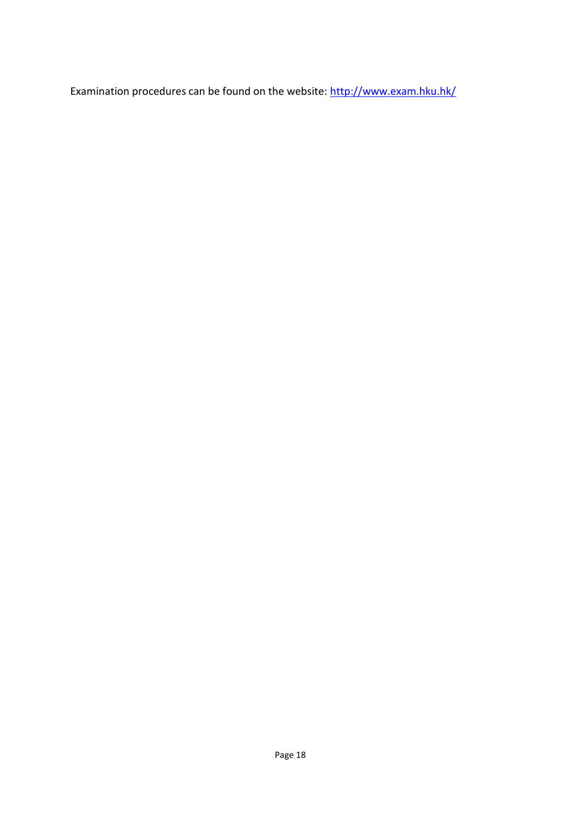Examination procedures can be found on the website:<http://www.exam.hku.hk/>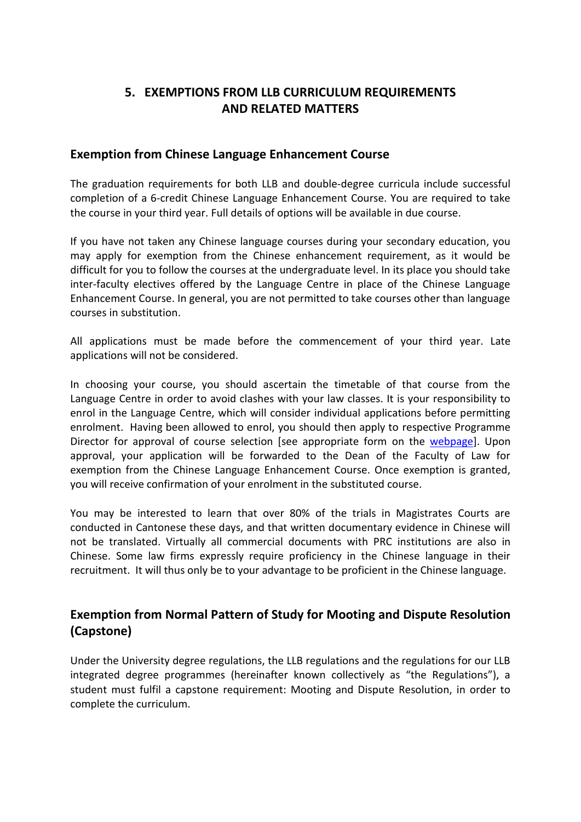## <span id="page-18-0"></span>**5. EXEMPTIONS FROM LLB CURRICULUM REQUIREMENTS AND RELATED MATTERS**

#### **Exemption from Chinese Language Enhancement Course**

The graduation requirements for both LLB and double-degree curricula include successful completion of a 6-credit Chinese Language Enhancement Course. You are required to take the course in your third year. Full details of options will be available in due course.

If you have not taken any Chinese language courses during your secondary education, you may apply for exemption from the Chinese enhancement requirement, as it would be difficult for you to follow the courses at the undergraduate level. In its place you should take inter-faculty electives offered by the Language Centre in place of the Chinese Language Enhancement Course. In general, you are not permitted to take courses other than language courses in substitution.

All applications must be made before the commencement of your third year. Late applications will not be considered.

In choosing your course, you should ascertain the timetable of that course from the Language Centre in order to avoid clashes with your law classes. It is your responsibility to enrol in the Language Centre, which will consider individual applications before permitting enrolment. Having been allowed to enrol, you should then apply to respective Programme Director for approval of course selection [see appropriate form on the [webpage\]](https://dm.law.hku.hk/forms/). Upon approval, your application will be forwarded to the Dean of the Faculty of Law for exemption from the Chinese Language Enhancement Course. Once exemption is granted, you will receive confirmation of your enrolment in the substituted course.

You may be interested to learn that over 80% of the trials in Magistrates Courts are conducted in Cantonese these days, and that written documentary evidence in Chinese will not be translated. Virtually all commercial documents with PRC institutions are also in Chinese. Some law firms expressly require proficiency in the Chinese language in their recruitment. It will thus only be to your advantage to be proficient in the Chinese language.

## **Exemption from Normal Pattern of Study for Mooting and Dispute Resolution (Capstone)**

Under the University degree regulations, the LLB regulations and the regulations for our LLB integrated degree programmes (hereinafter known collectively as "the Regulations"), a student must fulfil a capstone requirement: Mooting and Dispute Resolution, in order to complete the curriculum.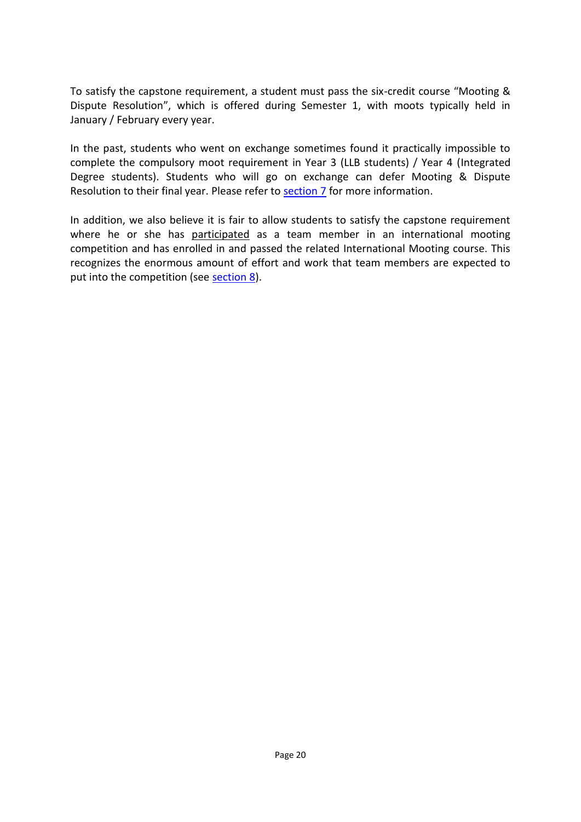To satisfy the capstone requirement, a student must pass the six-credit course "Mooting & Dispute Resolution", which is offered during Semester 1, with moots typically held in January / February every year.

In the past, students who went on exchange sometimes found it practically impossible to complete the compulsory moot requirement in Year 3 (LLB students) / Year 4 (Integrated Degree students). Students who will go on exchange can defer Mooting & Dispute Resolution to their final year. Please refer to [section 7](#page-21-0) for more information.

In addition, we also believe it is fair to allow students to satisfy the capstone requirement where he or she has participated as a team member in an international mooting competition and has enrolled in and passed the related International Mooting course. This recognizes the enormous amount of effort and work that team members are expected to put into the competition (see [section 8\)](#page-26-0).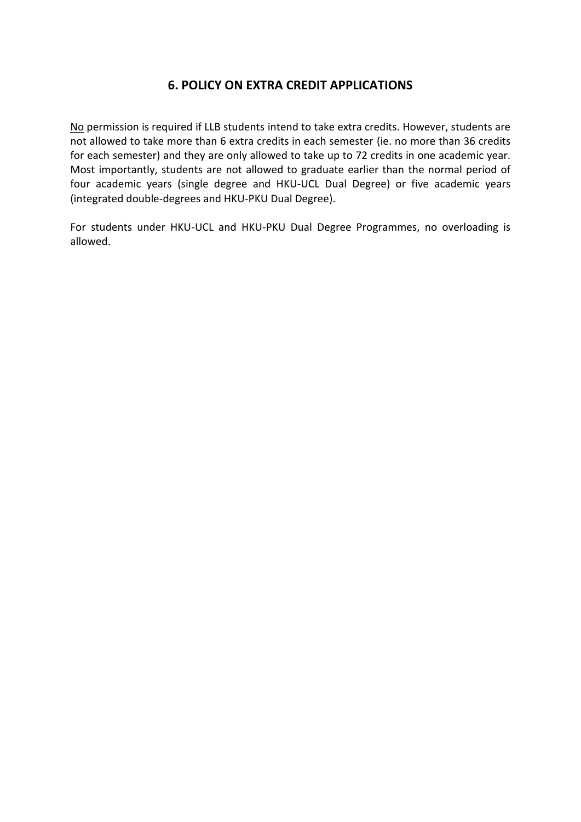## <span id="page-20-0"></span>**6. POLICY ON EXTRA CREDIT APPLICATIONS**

No permission is required if LLB students intend to take extra credits. However, students are not allowed to take more than 6 extra credits in each semester (ie. no more than 36 credits for each semester) and they are only allowed to take up to 72 credits in one academic year. Most importantly, students are not allowed to graduate earlier than the normal period of four academic years (single degree and HKU-UCL Dual Degree) or five academic years (integrated double-degrees and HKU-PKU Dual Degree).

For students under HKU-UCL and HKU-PKU Dual Degree Programmes, no overloading is allowed.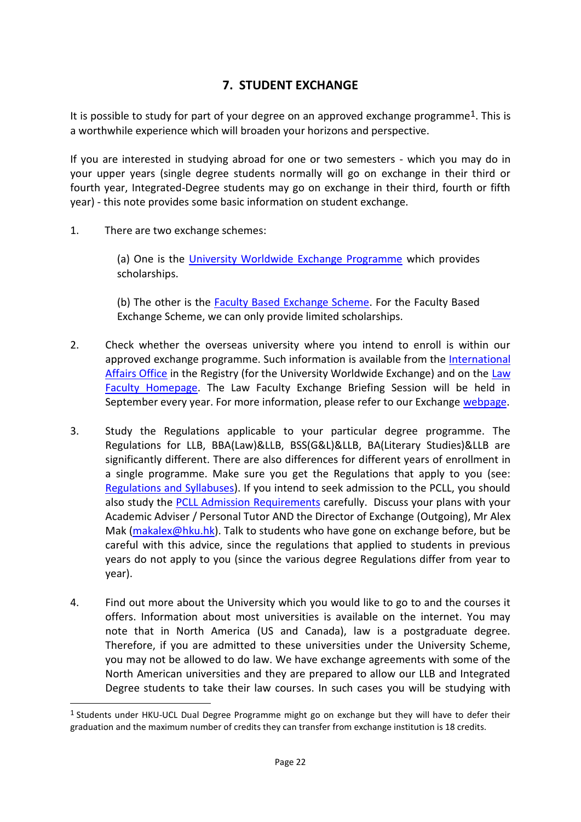## <span id="page-21-0"></span>**7. STUDENT EXCHANGE**

It is possible to study for part of your degree on an approved exchange programme<sup>1</sup>. This is a worthwhile experience which will broaden your horizons and perspective.

If you are interested in studying abroad for one or two semesters - which you may do in your upper years (single degree students normally will go on exchange in their third or fourth year, Integrated-Degree students may go on exchange in their third, fourth or fifth year) - this note provides some basic information on student exchange.

1. There are two exchange schemes:

1

(a) One is the [University Worldwide Exchange Programme](https://aal.hku.hk/studyabroad/avail_program.php?id=1&type=outgoing) which provides scholarships.

(b) The other is the **Faculty Based Exchange Scheme**. For the Faculty Based Exchange Scheme, we can only provide limited scholarships.

- 2. Check whether the overseas university where you intend to enroll is within our approved exchange programme. Such information is available from the International [Affairs Office](https://aal.hku.hk/studyabroad/avail_program.php?id=1&type=outgoing) in the Registry (for the University Worldwide Exchange) and on the [Law](https://www.law.hku.hk/current-students/outgoing-exchange-programme-introduction/)  [Faculty Homepage.](https://www.law.hku.hk/current-students/outgoing-exchange-programme-introduction/) The Law Faculty Exchange Briefing Session will be held in September every year. For more information, please refer to our Exchange [webpage.](https://www.law.hku.hk/current-students/outgoing-exchange-programme-introduction/)
- 3. Study the Regulations applicable to your particular degree programme. The Regulations for LLB, BBA(Law)&LLB, BSS(G&L)&LLB, BA(Literary Studies)&LLB are significantly different. There are also differences for different years of enrollment in a single programme. Make sure you get the Regulations that apply to you (see: [Regulations and Syllabuses\)](https://dm.law.hku.hk/). If you intend to seek admission to the PCLL, you should also study the [PCLL Admission Requirements](http://www.ple.hku.hk/pcll) carefully. Discuss your plans with your Academic Adviser / Personal Tutor AND the Director of Exchange (Outgoing), Mr Alex Mak [\(makalex@hku.hk\)](mailto:makalex@hku.hk). Talk to students who have gone on exchange before, but be careful with this advice, since the regulations that applied to students in previous years do not apply to you (since the various degree Regulations differ from year to year).
- 4. Find out more about the University which you would like to go to and the courses it offers. Information about most universities is available on the internet. You may note that in North America (US and Canada), law is a postgraduate degree. Therefore, if you are admitted to these universities under the University Scheme, you may not be allowed to do law. We have exchange agreements with some of the North American universities and they are prepared to allow our LLB and Integrated Degree students to take their law courses. In such cases you will be studying with

<sup>1</sup> Students under HKU-UCL Dual Degree Programme might go on exchange but they will have to defer their graduation and the maximum number of credits they can transfer from exchange institution is 18 credits.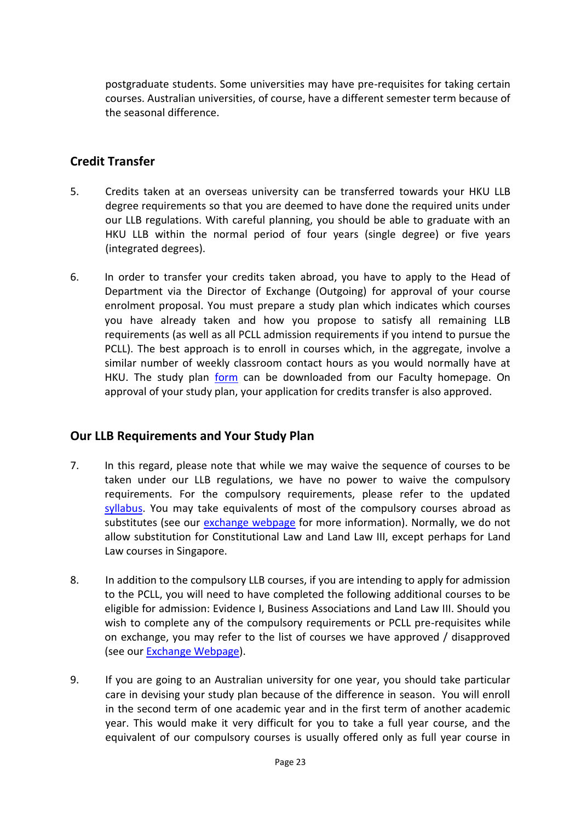postgraduate students. Some universities may have pre-requisites for taking certain courses. Australian universities, of course, have a different semester term because of the seasonal difference.

## **Credit Transfer**

- 5. Credits taken at an overseas university can be transferred towards your HKU LLB degree requirements so that you are deemed to have done the required units under our LLB regulations. With careful planning, you should be able to graduate with an HKU LLB within the normal period of four years (single degree) or five years (integrated degrees).
- 6. In order to transfer your credits taken abroad, you have to apply to the Head of Department via the Director of Exchange (Outgoing) for approval of your course enrolment proposal. You must prepare a study plan which indicates which courses you have already taken and how you propose to satisfy all remaining LLB requirements (as well as all PCLL admission requirements if you intend to pursue the PCLL). The best approach is to enroll in courses which, in the aggregate, involve a similar number of weekly classroom contact hours as you would normally have at HKU. The study plan [form](https://www.law.hku.hk/current-students/outgoing-exchange-programme-application-forms/) can be downloaded from our Faculty homepage. On approval of your study plan, your application for credits transfer is also approved.

## **Our LLB Requirements and Your Study Plan**

- 7. In this regard, please note that while we may waive the sequence of courses to be taken under our LLB regulations, we have no power to waive the compulsory requirements. For the compulsory requirements, please refer to the updated [syllabus.](https://dm.law.hku.hk/) You may take equivalents of most of the compulsory courses abroad as substitutes (see our [exchange webpage](https://www.law.hku.hk/current-students/outgoing-exchange-programme-introduction/) for more information). Normally, we do not allow substitution for Constitutional Law and Land Law III, except perhaps for Land Law courses in Singapore.
- 8. In addition to the compulsory LLB courses, if you are intending to apply for admission to the PCLL, you will need to have completed the following additional courses to be eligible for admission: Evidence I, Business Associations and Land Law III. Should you wish to complete any of the compulsory requirements or PCLL pre-requisites while on exchange, you may refer to the list of courses we have approved / disapproved (see our **Exchange Webpage**).
- 9. If you are going to an Australian university for one year, you should take particular care in devising your study plan because of the difference in season. You will enroll in the second term of one academic year and in the first term of another academic year. This would make it very difficult for you to take a full year course, and the equivalent of our compulsory courses is usually offered only as full year course in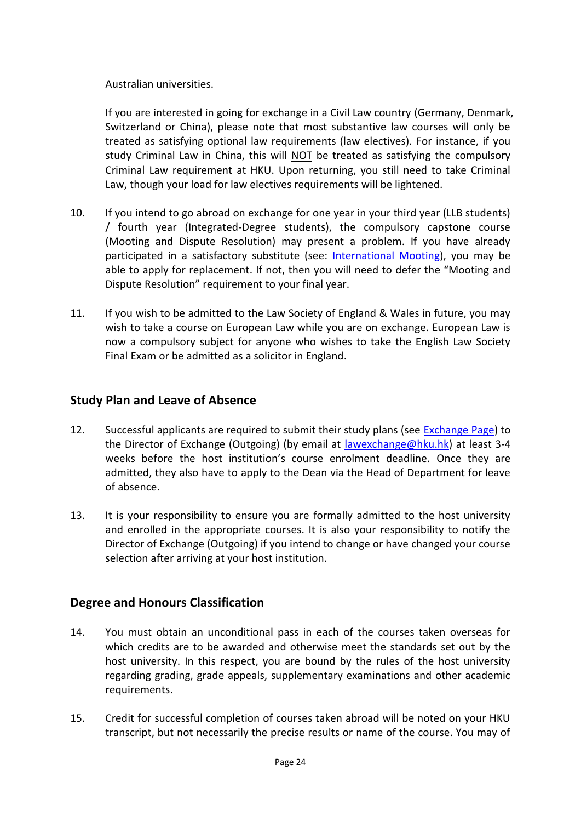#### Australian universities.

If you are interested in going for exchange in a Civil Law country (Germany, Denmark, Switzerland or China), please note that most substantive law courses will only be treated as satisfying optional law requirements (law electives). For instance, if you study Criminal Law in China, this will NOT be treated as satisfying the compulsory Criminal Law requirement at HKU. Upon returning, you still need to take Criminal Law, though your load for law electives requirements will be lightened.

- 10. If you intend to go abroad on exchange for one year in your third year (LLB students) / fourth year (Integrated-Degree students), the compulsory capstone course (Mooting and Dispute Resolution) may present a problem. If you have already participated in a satisfactory substitute (see: [International Mooting\)](#page-26-0), you may be able to apply for replacement. If not, then you will need to defer the "Mooting and Dispute Resolution" requirement to your final year.
- 11. If you wish to be admitted to the Law Society of England & Wales in future, you may wish to take a course on European Law while you are on exchange. European Law is now a compulsory subject for anyone who wishes to take the English Law Society Final Exam or be admitted as a solicitor in England.

## **Study Plan and Leave of Absence**

- 12. Successful applicants are required to submit their study plans (see [Exchange Page\)](https://www.law.hku.hk/current-students/outgoing-exchange-programme-introduction/) to the Director of Exchange (Outgoing) (by email at [lawexchange@hku.hk\)](mailto:lawexchange@hku.hk) at least 3-4 weeks before the host institution's course enrolment deadline. Once they are admitted, they also have to apply to the Dean via the Head of Department for leave of absence.
- 13. It is your responsibility to ensure you are formally admitted to the host university and enrolled in the appropriate courses. It is also your responsibility to notify the Director of Exchange (Outgoing) if you intend to change or have changed your course selection after arriving at your host institution.

## **Degree and Honours Classification**

- 14. You must obtain an unconditional pass in each of the courses taken overseas for which credits are to be awarded and otherwise meet the standards set out by the host university. In this respect, you are bound by the rules of the host university regarding grading, grade appeals, supplementary examinations and other academic requirements.
- 15. Credit for successful completion of courses taken abroad will be noted on your HKU transcript, but not necessarily the precise results or name of the course. You may of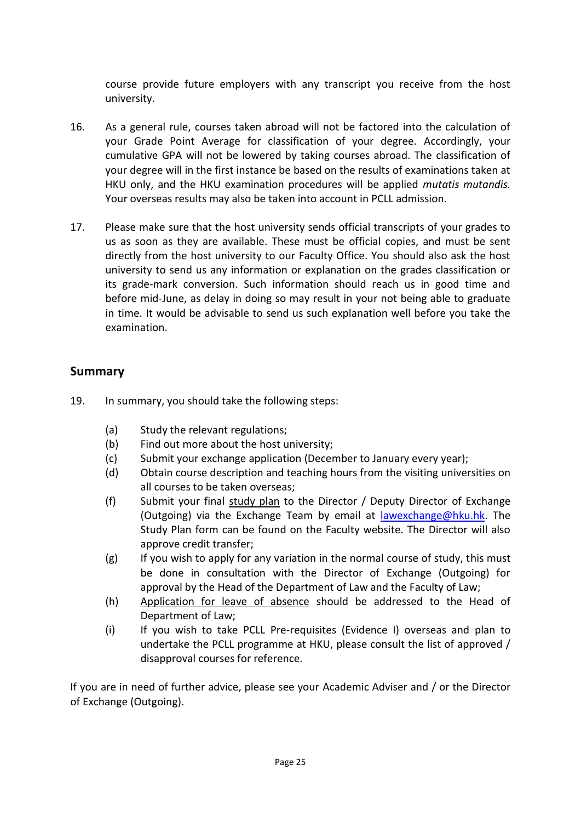course provide future employers with any transcript you receive from the host university.

- 16. As a general rule, courses taken abroad will not be factored into the calculation of your Grade Point Average for classification of your degree. Accordingly, your cumulative GPA will not be lowered by taking courses abroad. The classification of your degree will in the first instance be based on the results of examinations taken at HKU only, and the HKU examination procedures will be applied *mutatis mutandis.*  Your overseas results may also be taken into account in PCLL admission.
- 17. Please make sure that the host university sends official transcripts of your grades to us as soon as they are available. These must be official copies, and must be sent directly from the host university to our Faculty Office. You should also ask the host university to send us any information or explanation on the grades classification or its grade-mark conversion. Such information should reach us in good time and before mid-June, as delay in doing so may result in your not being able to graduate in time. It would be advisable to send us such explanation well before you take the examination.

#### **Summary**

- 19. In summary, you should take the following steps:
	- (a) Study the relevant regulations;
	- (b) Find out more about the host university;
	- (c) Submit your exchange application (December to January every year);
	- (d) Obtain course description and teaching hours from the visiting universities on all courses to be taken overseas;
	- (f) Submit your final study plan to the Director / Deputy Director of Exchange (Outgoing) via the Exchange Team by email at [lawexchange@hku.hk.](mailto:lawexchange@hku.hk) The Study Plan form can be found on the Faculty website. The Director will also approve credit transfer;
	- (g) If you wish to apply for any variation in the normal course of study, this must be done in consultation with the Director of Exchange (Outgoing) for approval by the Head of the Department of Law and the Faculty of Law;
	- (h) Application for leave of absence should be addressed to the Head of Department of Law;
	- (i) If you wish to take PCLL Pre-requisites (Evidence I) overseas and plan to undertake the PCLL programme at HKU, please consult the list of approved / disapproval courses for reference.

If you are in need of further advice, please see your Academic Adviser and / or the Director of Exchange (Outgoing).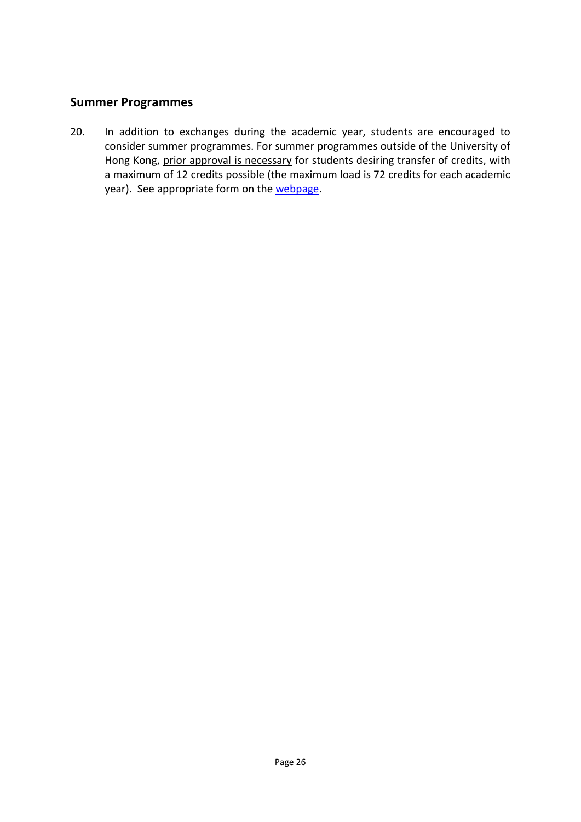## **Summer Programmes**

20. In addition to exchanges during the academic year, students are encouraged to consider summer programmes. For summer programmes outside of the University of Hong Kong, prior approval is necessary for students desiring transfer of credits, with a maximum of 12 credits possible (the maximum load is 72 credits for each academic year). See appropriate form on the [webpage.](https://www.law.hku.hk/current-students/outgoing-exchange-programme-application-forms/)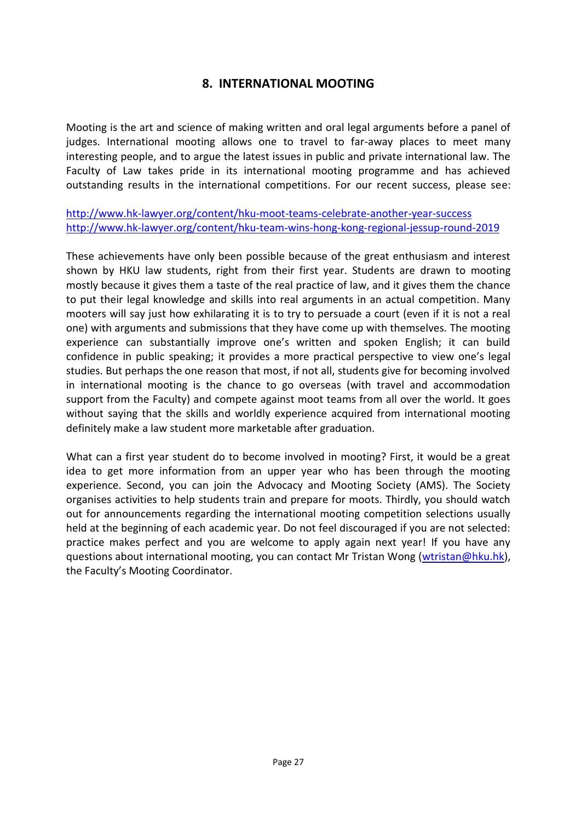## **8. INTERNATIONAL MOOTING**

<span id="page-26-0"></span>Mooting is the art and science of making written and oral legal arguments before a panel of judges. International mooting allows one to travel to far-away places to meet many interesting people, and to argue the latest issues in public and private international law. The Faculty of Law takes pride in its international mooting programme and has achieved outstanding results in the international competitions. For our recent success, please see:

<http://www.hk-lawyer.org/content/hku-moot-teams-celebrate-another-year-success> <http://www.hk-lawyer.org/content/hku-team-wins-hong-kong-regional-jessup-round-2019>

These achievements have only been possible because of the great enthusiasm and interest shown by HKU law students, right from their first year. Students are drawn to mooting mostly because it gives them a taste of the real practice of law, and it gives them the chance to put their legal knowledge and skills into real arguments in an actual competition. Many mooters will say just how exhilarating it is to try to persuade a court (even if it is not a real one) with arguments and submissions that they have come up with themselves. The mooting experience can substantially improve one's written and spoken English; it can build confidence in public speaking; it provides a more practical perspective to view one's legal studies. But perhaps the one reason that most, if not all, students give for becoming involved in international mooting is the chance to go overseas (with travel and accommodation support from the Faculty) and compete against moot teams from all over the world. It goes without saying that the skills and worldly experience acquired from international mooting definitely make a law student more marketable after graduation.

What can a first year student do to become involved in mooting? First, it would be a great idea to get more information from an upper year who has been through the mooting experience. Second, you can join the Advocacy and Mooting Society (AMS). The Society organises activities to help students train and prepare for moots. Thirdly, you should watch out for announcements regarding the international mooting competition selections usually held at the beginning of each academic year. Do not feel discouraged if you are not selected: practice makes perfect and you are welcome to apply again next year! If you have any questions about international mooting, you can contact Mr Tristan Wong [\(wtristan@hku.hk\)](mailto:wtristan@hku.hk), the Faculty's Mooting Coordinator.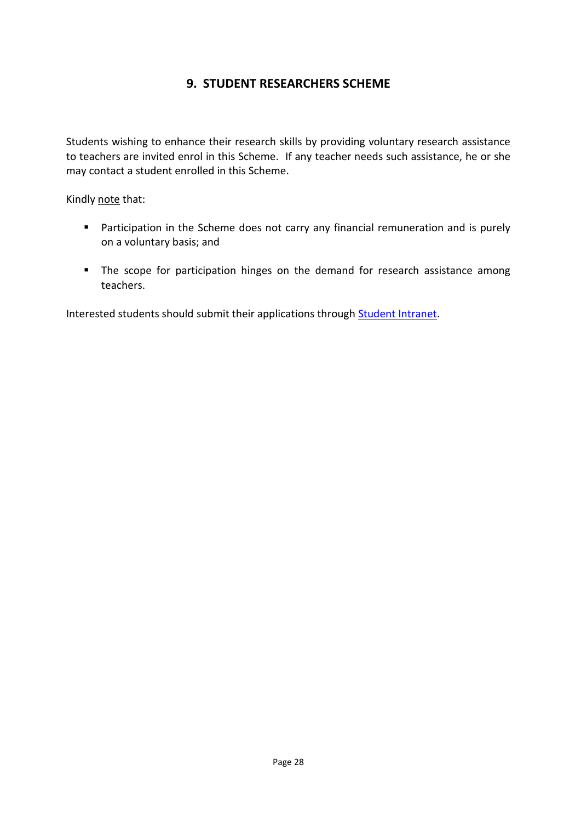## **9. STUDENT RESEARCHERS SCHEME**

<span id="page-27-0"></span>Students wishing to enhance their research skills by providing voluntary research assistance to teachers are invited enrol in this Scheme. If any teacher needs such assistance, he or she may contact a student enrolled in this Scheme.

Kindly note that:

- **Participation in the Scheme does not carry any financial remuneration and is purely** on a voluntary basis; and
- **The scope for participation hinges on the demand for research assistance among** teachers.

Interested students should submit their applications through **Student Intranet**.